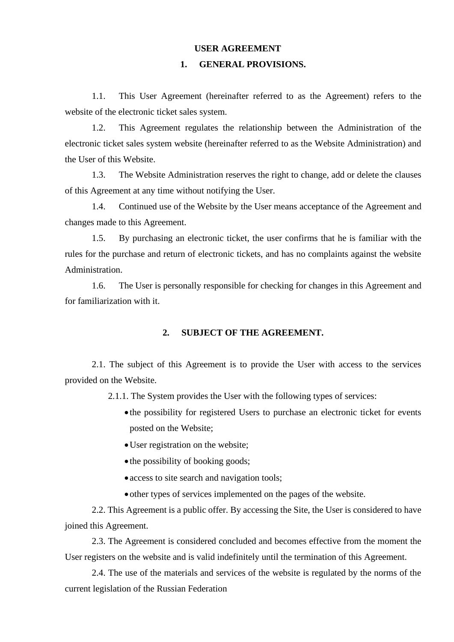# **USER AGREEMENT**

# **1. GENERAL PROVISIONS.**

1.1. This User Agreement (hereinafter referred to as the Agreement) refers to the website of the electronic ticket sales system.

1.2. This Agreement regulates the relationship between the Administration of the electronic ticket sales system website (hereinafter referred to as the Website Administration) and the User of this Website.

1.3. The Website Administration reserves the right to change, add or delete the clauses of this Agreement at any time without notifying the User.

1.4. Continued use of the Website by the User means acceptance of the Agreement and changes made to this Agreement.

1.5. By purchasing an electronic ticket, the user confirms that he is familiar with the rules for the purchase and return of electronic tickets, and has no complaints against the website Administration.

1.6. The User is personally responsible for checking for changes in this Agreement and for familiarization with it.

# **2. SUBJECT OF THE AGREEMENT.**

2.1. The subject of this Agreement is to provide the User with access to the services provided on the Website.

2.1.1. The System provides the User with the following types of services:

- the possibility for registered Users to purchase an electronic ticket for events posted on the Website;
- User registration on the website;
- the possibility of booking goods;
- access to site search and navigation tools;
- other types of services implemented on the pages of the website.

2.2. This Agreement is a public offer. By accessing the Site, the User is considered to have joined this Agreement.

2.3. The Agreement is considered concluded and becomes effective from the moment the User registers on the website and is valid indefinitely until the termination of this Agreement.

2.4. The use of the materials and services of the website is regulated by the norms of the current legislation of the Russian Federation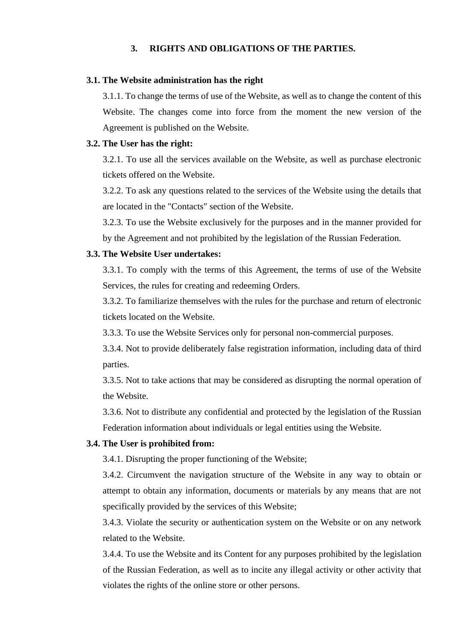# **3. RIGHTS AND OBLIGATIONS OF THE PARTIES.**

### **3.1. The Website administration has the right**

3.1.1. To change the terms of use of the Website, as well as to change the content of this Website. The changes come into force from the moment the new version of the Agreement is published on the Website.

#### **3.2. The User has the right:**

3.2.1. To use all the services available on the Website, as well as purchase electronic tickets offered on the Website.

3.2.2. To ask any questions related to the services of the Website using the details that are located in the "Contacts" section of the Website.

3.2.3. To use the Website exclusively for the purposes and in the manner provided for by the Agreement and not prohibited by the legislation of the Russian Federation.

### **3.3. The Website User undertakes:**

3.3.1. To comply with the terms of this Agreement, the terms of use of the Website Services, the rules for creating and redeeming Orders.

3.3.2. To familiarize themselves with the rules for the purchase and return of electronic tickets located on the Website.

3.3.3. To use the Website Services only for personal non-commercial purposes.

3.3.4. Not to provide deliberately false registration information, including data of third parties.

3.3.5. Not to take actions that may be considered as disrupting the normal operation of the Website.

3.3.6. Not to distribute any confidential and protected by the legislation of the Russian Federation information about individuals or legal entities using the Website.

#### **3.4. The User is prohibited from:**

3.4.1. Disrupting the proper functioning of the Website;

3.4.2. Circumvent the navigation structure of the Website in any way to obtain or attempt to obtain any information, documents or materials by any means that are not specifically provided by the services of this Website;

3.4.3. Violate the security or authentication system on the Website or on any network related to the Website.

3.4.4. To use the Website and its Content for any purposes prohibited by the legislation of the Russian Federation, as well as to incite any illegal activity or other activity that violates the rights of the online store or other persons.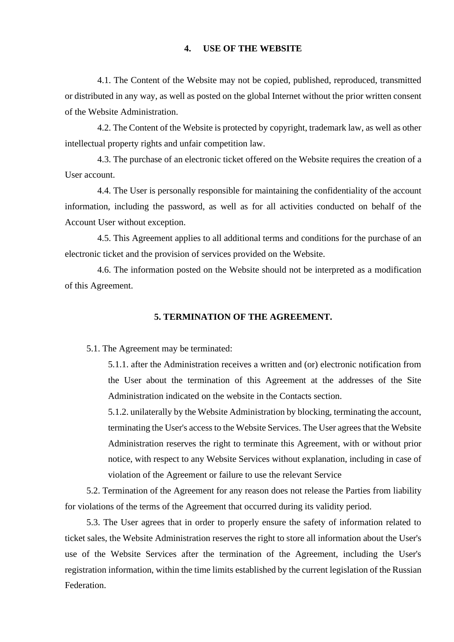# **4. USE OF THE WEBSITE**

4.1. The Content of the Website may not be copied, published, reproduced, transmitted or distributed in any way, as well as posted on the global Internet without the prior written consent of the Website Administration.

4.2. The Content of the Website is protected by copyright, trademark law, as well as other intellectual property rights and unfair competition law.

4.3. The purchase of an electronic ticket offered on the Website requires the creation of a User account.

4.4. The User is personally responsible for maintaining the confidentiality of the account information, including the password, as well as for all activities conducted on behalf of the Account User without exception.

4.5. This Agreement applies to all additional terms and conditions for the purchase of an electronic ticket and the provision of services provided on the Website.

4.6. The information posted on the Website should not be interpreted as a modification of this Agreement.

### **5. TERMINATION OF THE AGREEMENT.**

5.1. The Agreement may be terminated:

5.1.1. after the Administration receives a written and (or) electronic notification from the User about the termination of this Agreement at the addresses of the Site Administration indicated on the website in the Contacts section.

5.1.2. unilaterally by the Website Administration by blocking, terminating the account, terminating the User's access to the Website Services. The User agrees that the Website Administration reserves the right to terminate this Agreement, with or without prior notice, with respect to any Website Services without explanation, including in case of violation of the Agreement or failure to use the relevant Service

5.2. Termination of the Agreement for any reason does not release the Parties from liability for violations of the terms of the Agreement that occurred during its validity period.

5.3. The User agrees that in order to properly ensure the safety of information related to ticket sales, the Website Administration reserves the right to store all information about the User's use of the Website Services after the termination of the Agreement, including the User's registration information, within the time limits established by the current legislation of the Russian **Federation**